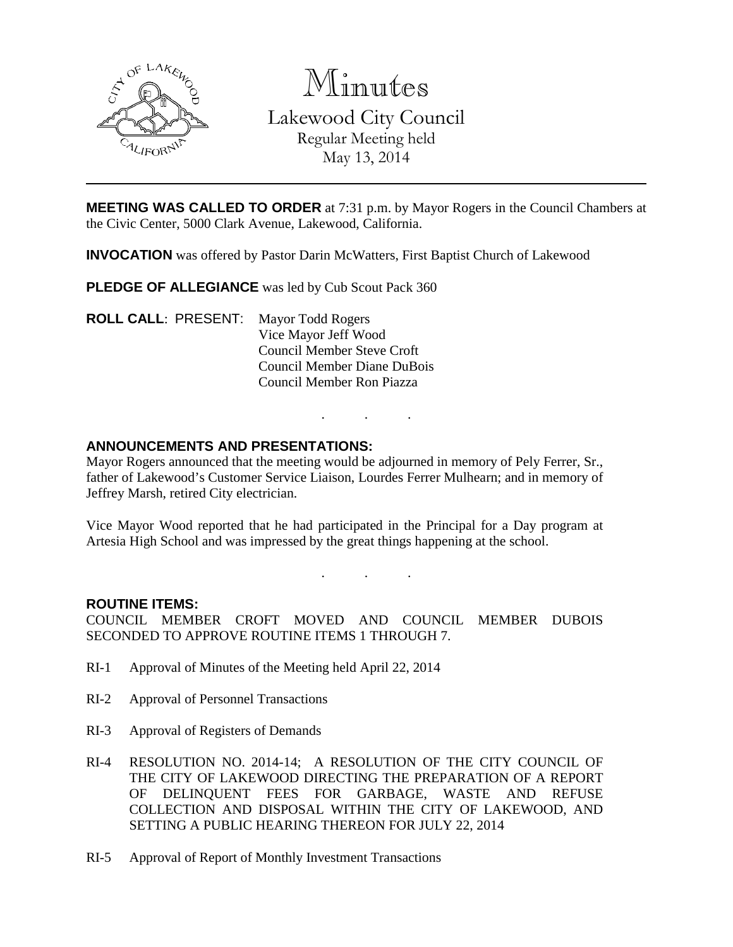

Minutes

Lakewood City Council Regular Meeting held May 13, 2014

**MEETING WAS CALLED TO ORDER** at 7:31 p.m. by Mayor Rogers in the Council Chambers at the Civic Center, 5000 Clark Avenue, Lakewood, California.

**INVOCATION** was offered by Pastor Darin McWatters, First Baptist Church of Lakewood

**PLEDGE OF ALLEGIANCE** was led by Cub Scout Pack 360

**ROLL CALL**: PRESENT: Mayor Todd Rogers Vice Mayor Jeff Wood Council Member Steve Croft Council Member Diane DuBois Council Member Ron Piazza

## **ANNOUNCEMENTS AND PRESENTATIONS:**

Mayor Rogers announced that the meeting would be adjourned in memory of Pely Ferrer, Sr., father of Lakewood's Customer Service Liaison, Lourdes Ferrer Mulhearn; and in memory of Jeffrey Marsh, retired City electrician.

. . .

Vice Mayor Wood reported that he had participated in the Principal for a Day program at Artesia High School and was impressed by the great things happening at the school.

. . .

#### **ROUTINE ITEMS:**

COUNCIL MEMBER CROFT MOVED AND COUNCIL MEMBER DUBOIS SECONDED TO APPROVE ROUTINE ITEMS 1 THROUGH 7.

- RI-1 Approval of Minutes of the Meeting held April 22, 2014
- RI-2 Approval of Personnel Transactions
- RI-3 Approval of Registers of Demands
- RI-4 RESOLUTION NO. 2014-14; A RESOLUTION OF THE CITY COUNCIL OF THE CITY OF LAKEWOOD DIRECTING THE PREPARATION OF A REPORT OF DELINQUENT FEES FOR GARBAGE, WASTE AND REFUSE COLLECTION AND DISPOSAL WITHIN THE CITY OF LAKEWOOD, AND SETTING A PUBLIC HEARING THEREON FOR JULY 22, 2014
- RI-5 Approval of Report of Monthly Investment Transactions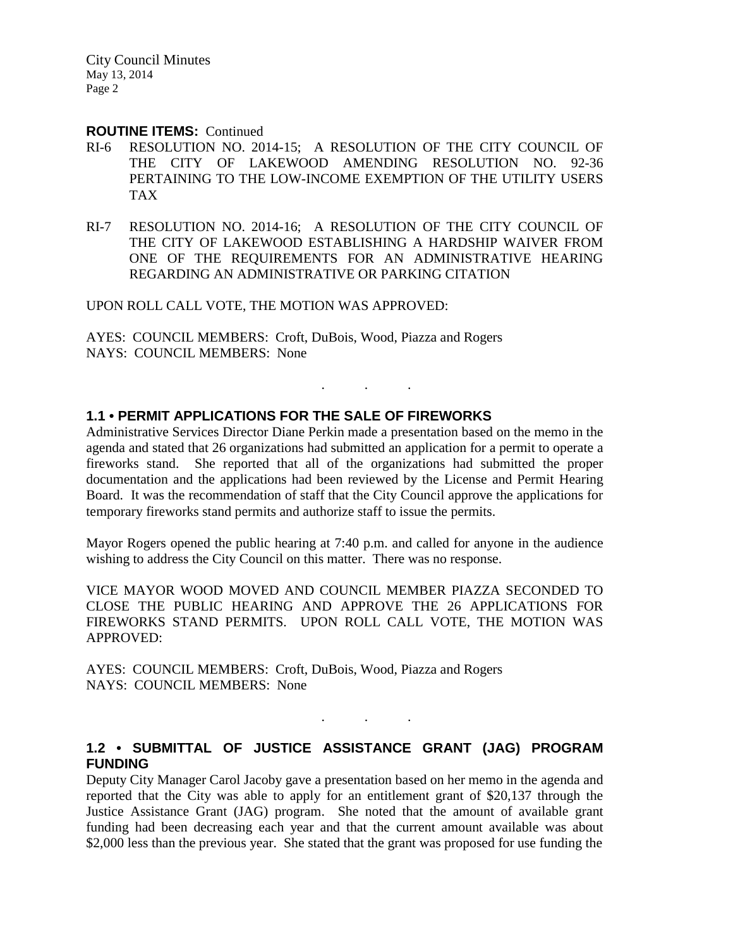City Council Minutes May 13, 2014 Page 2

#### **ROUTINE ITEMS:** Continued

- RI-6 RESOLUTION NO. 2014-15; A RESOLUTION OF THE CITY COUNCIL OF THE CITY OF LAKEWOOD AMENDING RESOLUTION NO. 92-36 PERTAINING TO THE LOW-INCOME EXEMPTION OF THE UTILITY USERS TAX
- RI-7 RESOLUTION NO. 2014-16; A RESOLUTION OF THE CITY COUNCIL OF THE CITY OF LAKEWOOD ESTABLISHING A HARDSHIP WAIVER FROM ONE OF THE REQUIREMENTS FOR AN ADMINISTRATIVE HEARING REGARDING AN ADMINISTRATIVE OR PARKING CITATION

UPON ROLL CALL VOTE, THE MOTION WAS APPROVED:

AYES: COUNCIL MEMBERS: Croft, DuBois, Wood, Piazza and Rogers NAYS: COUNCIL MEMBERS: None

# **1.1 • PERMIT APPLICATIONS FOR THE SALE OF FIREWORKS**

Administrative Services Director Diane Perkin made a presentation based on the memo in the agenda and stated that 26 organizations had submitted an application for a permit to operate a fireworks stand. She reported that all of the organizations had submitted the proper documentation and the applications had been reviewed by the License and Permit Hearing Board. It was the recommendation of staff that the City Council approve the applications for temporary fireworks stand permits and authorize staff to issue the permits.

. . .

Mayor Rogers opened the public hearing at 7:40 p.m. and called for anyone in the audience wishing to address the City Council on this matter. There was no response.

VICE MAYOR WOOD MOVED AND COUNCIL MEMBER PIAZZA SECONDED TO CLOSE THE PUBLIC HEARING AND APPROVE THE 26 APPLICATIONS FOR FIREWORKS STAND PERMITS. UPON ROLL CALL VOTE, THE MOTION WAS APPROVED:

AYES: COUNCIL MEMBERS: Croft, DuBois, Wood, Piazza and Rogers NAYS: COUNCIL MEMBERS: None

#### **1.2 • SUBMITTAL OF JUSTICE ASSISTANCE GRANT (JAG) PROGRAM FUNDING**

. . .

Deputy City Manager Carol Jacoby gave a presentation based on her memo in the agenda and reported that the City was able to apply for an entitlement grant of \$20,137 through the Justice Assistance Grant (JAG) program. She noted that the amount of available grant funding had been decreasing each year and that the current amount available was about \$2,000 less than the previous year. She stated that the grant was proposed for use funding the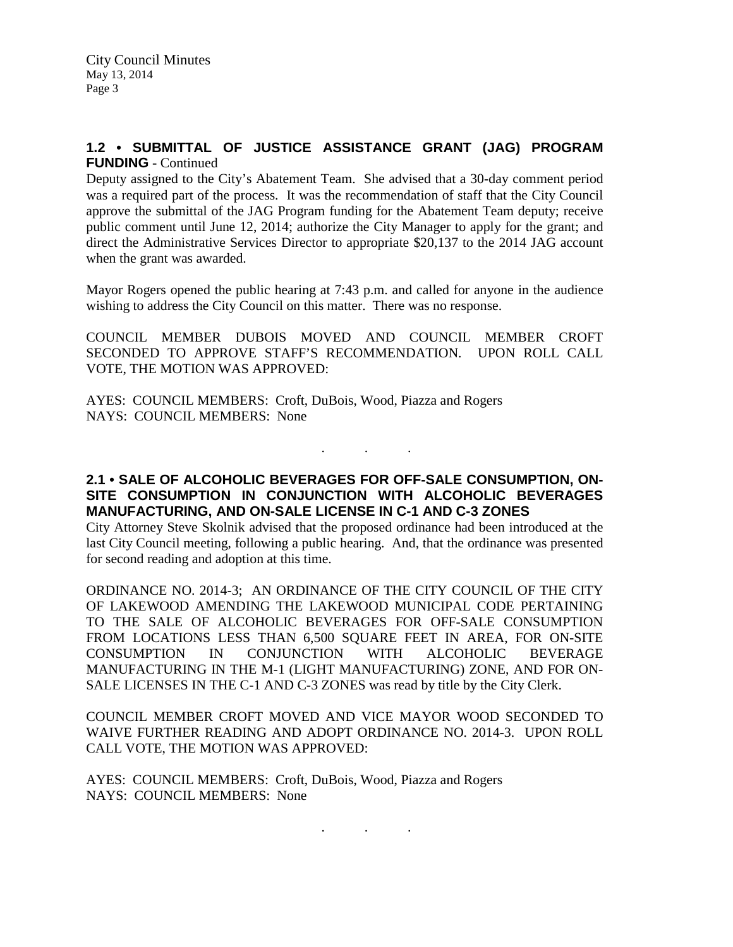## **1.2 • SUBMITTAL OF JUSTICE ASSISTANCE GRANT (JAG) PROGRAM FUNDING** - Continued

Deputy assigned to the City's Abatement Team. She advised that a 30-day comment period was a required part of the process. It was the recommendation of staff that the City Council approve the submittal of the JAG Program funding for the Abatement Team deputy; receive public comment until June 12, 2014; authorize the City Manager to apply for the grant; and direct the Administrative Services Director to appropriate \$20,137 to the 2014 JAG account when the grant was awarded.

Mayor Rogers opened the public hearing at 7:43 p.m. and called for anyone in the audience wishing to address the City Council on this matter. There was no response.

COUNCIL MEMBER DUBOIS MOVED AND COUNCIL MEMBER CROFT SECONDED TO APPROVE STAFF'S RECOMMENDATION. UPON ROLL CALL VOTE, THE MOTION WAS APPROVED:

AYES: COUNCIL MEMBERS: Croft, DuBois, Wood, Piazza and Rogers NAYS: COUNCIL MEMBERS: None

**2.1 • SALE OF ALCOHOLIC BEVERAGES FOR OFF-SALE CONSUMPTION, ON-SITE CONSUMPTION IN CONJUNCTION WITH ALCOHOLIC BEVERAGES MANUFACTURING, AND ON-SALE LICENSE IN C-1 AND C-3 ZONES**

. . .

City Attorney Steve Skolnik advised that the proposed ordinance had been introduced at the last City Council meeting, following a public hearing. And, that the ordinance was presented for second reading and adoption at this time.

ORDINANCE NO. 2014-3; AN ORDINANCE OF THE CITY COUNCIL OF THE CITY OF LAKEWOOD AMENDING THE LAKEWOOD MUNICIPAL CODE PERTAINING TO THE SALE OF ALCOHOLIC BEVERAGES FOR OFF-SALE CONSUMPTION FROM LOCATIONS LESS THAN 6,500 SQUARE FEET IN AREA, FOR ON-SITE CONSUMPTION IN CONJUNCTION WITH ALCOHOLIC BEVERAGE MANUFACTURING IN THE M-1 (LIGHT MANUFACTURING) ZONE, AND FOR ON-SALE LICENSES IN THE C-1 AND C-3 ZONES was read by title by the City Clerk.

COUNCIL MEMBER CROFT MOVED AND VICE MAYOR WOOD SECONDED TO WAIVE FURTHER READING AND ADOPT ORDINANCE NO. 2014-3. UPON ROLL CALL VOTE, THE MOTION WAS APPROVED:

. . .

AYES: COUNCIL MEMBERS: Croft, DuBois, Wood, Piazza and Rogers NAYS: COUNCIL MEMBERS: None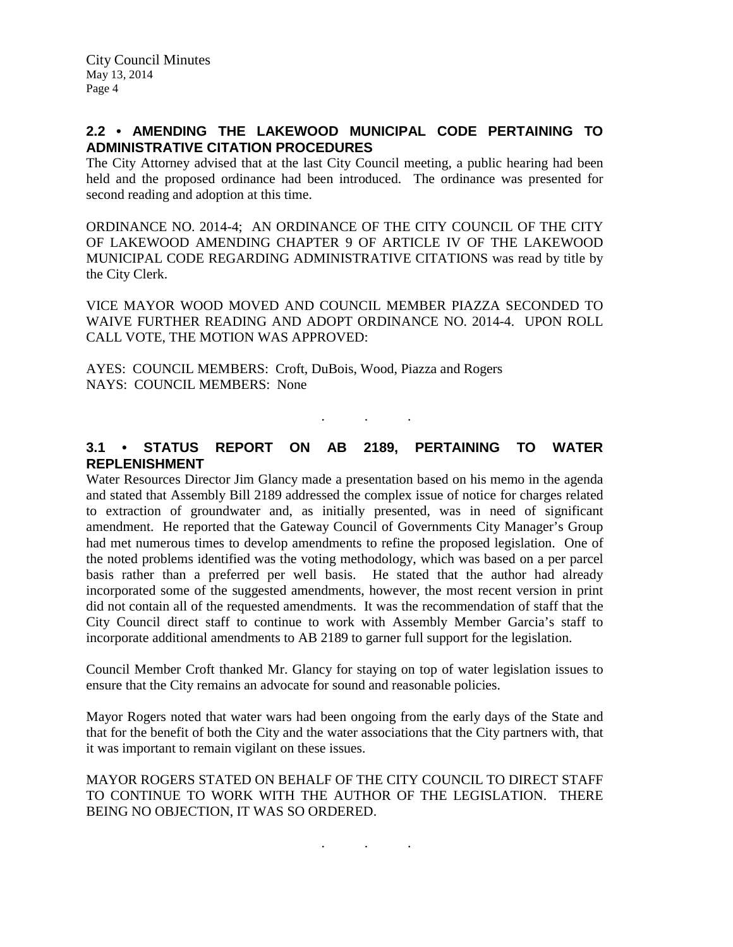## **2.2 • AMENDING THE LAKEWOOD MUNICIPAL CODE PERTAINING TO ADMINISTRATIVE CITATION PROCEDURES**

The City Attorney advised that at the last City Council meeting, a public hearing had been held and the proposed ordinance had been introduced. The ordinance was presented for second reading and adoption at this time.

ORDINANCE NO. 2014-4; AN ORDINANCE OF THE CITY COUNCIL OF THE CITY OF LAKEWOOD AMENDING CHAPTER 9 OF ARTICLE IV OF THE LAKEWOOD MUNICIPAL CODE REGARDING ADMINISTRATIVE CITATIONS was read by title by the City Clerk.

VICE MAYOR WOOD MOVED AND COUNCIL MEMBER PIAZZA SECONDED TO WAIVE FURTHER READING AND ADOPT ORDINANCE NO. 2014-4. UPON ROLL CALL VOTE, THE MOTION WAS APPROVED:

AYES: COUNCIL MEMBERS: Croft, DuBois, Wood, Piazza and Rogers NAYS: COUNCIL MEMBERS: None

# **3.1 • STATUS REPORT ON AB 2189, PERTAINING TO WATER REPLENISHMENT**

. . .

Water Resources Director Jim Glancy made a presentation based on his memo in the agenda and stated that Assembly Bill 2189 addressed the complex issue of notice for charges related to extraction of groundwater and, as initially presented, was in need of significant amendment. He reported that the Gateway Council of Governments City Manager's Group had met numerous times to develop amendments to refine the proposed legislation. One of the noted problems identified was the voting methodology, which was based on a per parcel basis rather than a preferred per well basis. He stated that the author had already incorporated some of the suggested amendments, however, the most recent version in print did not contain all of the requested amendments. It was the recommendation of staff that the City Council direct staff to continue to work with Assembly Member Garcia's staff to incorporate additional amendments to AB 2189 to garner full support for the legislation.

Council Member Croft thanked Mr. Glancy for staying on top of water legislation issues to ensure that the City remains an advocate for sound and reasonable policies.

Mayor Rogers noted that water wars had been ongoing from the early days of the State and that for the benefit of both the City and the water associations that the City partners with, that it was important to remain vigilant on these issues.

MAYOR ROGERS STATED ON BEHALF OF THE CITY COUNCIL TO DIRECT STAFF TO CONTINUE TO WORK WITH THE AUTHOR OF THE LEGISLATION. THERE BEING NO OBJECTION, IT WAS SO ORDERED.

. . .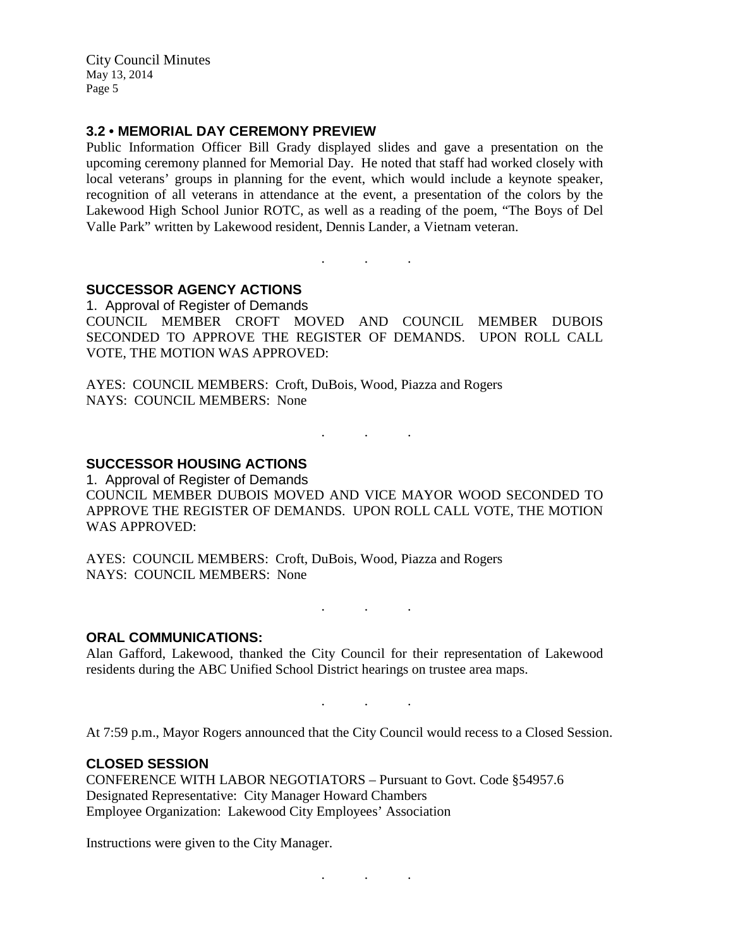City Council Minutes May 13, 2014 Page 5

#### **3.2 • MEMORIAL DAY CEREMONY PREVIEW**

Public Information Officer Bill Grady displayed slides and gave a presentation on the upcoming ceremony planned for Memorial Day. He noted that staff had worked closely with local veterans' groups in planning for the event, which would include a keynote speaker, recognition of all veterans in attendance at the event, a presentation of the colors by the Lakewood High School Junior ROTC, as well as a reading of the poem, "The Boys of Del Valle Park" written by Lakewood resident, Dennis Lander, a Vietnam veteran.

**SUCCESSOR AGENCY ACTIONS**

1. Approval of Register of Demands COUNCIL MEMBER CROFT MOVED AND COUNCIL MEMBER DUBOIS SECONDED TO APPROVE THE REGISTER OF DEMANDS. UPON ROLL CALL VOTE, THE MOTION WAS APPROVED:

. . .

AYES: COUNCIL MEMBERS: Croft, DuBois, Wood, Piazza and Rogers NAYS: COUNCIL MEMBERS: None

**SUCCESSOR HOUSING ACTIONS**

1. Approval of Register of Demands COUNCIL MEMBER DUBOIS MOVED AND VICE MAYOR WOOD SECONDED TO APPROVE THE REGISTER OF DEMANDS. UPON ROLL CALL VOTE, THE MOTION WAS APPROVED:

. As we have the set of the  $\mathcal{O}_\mathcal{A}$ 

AYES: COUNCIL MEMBERS: Croft, DuBois, Wood, Piazza and Rogers NAYS: COUNCIL MEMBERS: None

**ORAL COMMUNICATIONS:**

Alan Gafford, Lakewood, thanked the City Council for their representation of Lakewood residents during the ABC Unified School District hearings on trustee area maps.

 $\mathbf{r}$  . The set of the set of the  $\mathbf{r}$ 

. . .

. . .

At 7:59 p.m., Mayor Rogers announced that the City Council would recess to a Closed Session.

**CLOSED SESSION**

CONFERENCE WITH LABOR NEGOTIATORS – Pursuant to Govt. Code §54957.6 Designated Representative: City Manager Howard Chambers Employee Organization: Lakewood City Employees' Association

Instructions were given to the City Manager.